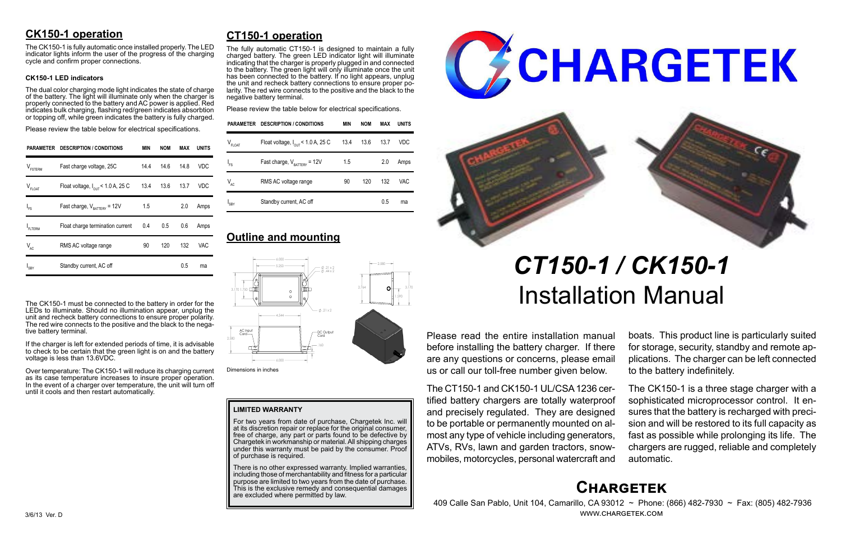# **Chargetek**

 409 Calle San Pablo, Unit 104, Camarillo, CA 93012 ~ Phone: (866) 482-7930 ~ Fax: (805) 482-7936 www.chargetek.com

# **CK150-1 operation**

The dual color charging mode light indicates the state of charge of the battery. The light will illuminate only when the charger is properly connected to the battery and AC power is applied. Red indicates bulk charging, flashing red/green indicates absorbtion or topping off, while green indicates the battery is fully charged.

The CK150-1 is fully automatic once installed properly. The LED indicator lights inform the user of the progress of the charging cycle and confirm proper connections.

#### **CK150-1 LED indicators**

Please review the table below for electrical specifications.

The CK150-1 must be connected to the battery in order for the LEDs to illuminate. Should no illumination appear, unplug the unit and recheck battery connections to ensure proper polarity. The red wire connects to the positive and the black to the negative battery terminal.

If the charger is left for extended periods of time, it is advisable to check to be certain that the green light is on and the battery voltage is less than 13.6VDC.

Over temperature: The CK150-1 will reduce its charging current as its case temperature increases to insure proper operation. In the event of a charger over temperature, the unit will turn off until it cools and then restart automatically.

Please read the entire installation manual before installing the battery charger. If there are any questions or concerns, please email us or call our toll-free number given below.

There is no other expressed warranty. Implied warranties, including those of merchantability and fitness for a particular purpose are limited to two years from the date of purchase. This is the exclusive remedy and consequential damages are excluded where permitted by law.





The CT150-1 and CK150-1 UL/CSA 1236 certified battery chargers are totally waterproof and precisely regulated. They are designed to be portable or permanently mounted on almost any type of vehicle including generators, ATVs, RVs, lawn and garden tractors, snowmobiles, motorcycles, personal watercraft and

boats. This product line is particularly suited for storage, security, standby and remote applications. The charger can be left connected to the battery indefinitely.

The CK150-1 is a three stage charger with a sophisticated microprocessor control. It ensures that the battery is recharged with precision and will be restored to its full capacity as fast as possible while prolonging its life. The chargers are rugged, reliable and completely automatic.

# **CT150-1 operation**

The fully automatic CT150-1 is designed to maintain a fully charged battery. The green LED indicator light will illuminate indicating that the charger is properly plugged in and connected to the battery. The green light will only illuminate once the unit has been connected to the battery. If no light appears, unplug the unit and recheck battery connections to ensure proper polarity. The red wire connects to the positive and the black to the negative battery terminal.

Please review the table below for electrical specifications.

# *CT150-1 / CK150-1* Installation Manual

#### **LIMITED WARRANTY**

For two years from date of purchase, Chargetek Inc. will at its discretion repair or replace for the original consumer, free of charge, any part or parts found to be defective by Chargetek in workmanship or material. All shipping charges under this warranty must be paid by the consumer. Proof of purchase is required.

| PARAMETER           | <b>DESCRIPTION / CONDITIONS</b>               | MIN  | <b>NOM</b> | MAX  | UNITS      |
|---------------------|-----------------------------------------------|------|------------|------|------------|
| $V_{\text{FSTERM}}$ | Fast charge voltage, 25C                      | 14.4 | 14.6       | 14.8 | VDC        |
| $V_{FLOAT}$         | Float voltage, $I_{\text{out}}$ < 1.0 A, 25 C | 13.4 | 13.6       | 13.7 | VDC        |
| $I_{FS}$            | Fast charge, $V_{\text{rATTARY}}$ = 12V       | 1.5  |            | 2.0  | Amps       |
| FLTERM              | Float charge termination current              | 0.4  | 0.5        | 0.6  | Amps       |
| $V_{AC}$            | RMS AC voltage range                          | 90   | 120        | 132  | <b>VAC</b> |
| I <sub>SBY</sub>    | Standby current, AC off                       |      |            | 0.5  | ma         |

|             | PARAMETER DESCRIPTION / CONDITIONS            | MIN  | <b>NOM</b> | <b>MAX</b> | <b>UNITS</b> |
|-------------|-----------------------------------------------|------|------------|------------|--------------|
| $V_{FLOAT}$ | Float voltage, $I_{\text{OUT}}$ < 1.0 A, 25 C | 13.4 | 13.6       | 13.7       | <b>VDC</b>   |
| $I_{FS}$    | Fast charge, $V_{\text{BATTERY}} = 12V$       | 1.5  |            | 2.0        | Amps         |
| $V_{AC}$    | RMS AC voltage range                          | 90   | 120        | 132        | VAC          |
| $I_{SBY}$   | Standby current, AC off                       |      |            | 0.5        | ma           |

# **Outline and mounting**